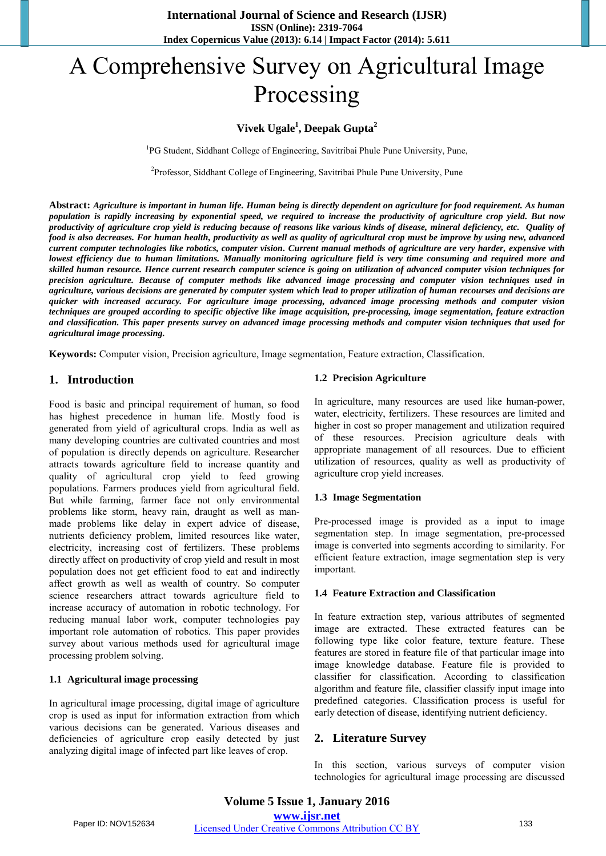# A Comprehensive Survey on Agricultural Image Processing

# **Vivek Ugale<sup>1</sup> , Deepak Gupta<sup>2</sup>**

<sup>1</sup>PG Student, Siddhant College of Engineering, Savitribai Phule Pune University, Pune,

<sup>2</sup>Professor, Siddhant College of Engineering, Savitribai Phule Pune University, Pune

**Abstract:** *Agriculture is important in human life. Human being is directly dependent on agriculture for food requirement. As human population is rapidly increasing by exponential speed, we required to increase the productivity of agriculture crop yield. But now productivity of agriculture crop yield is reducing because of reasons like various kinds of disease, mineral deficiency, etc. Quality of food is also decreases. For human health, productivity as well as quality of agricultural crop must be improve by using new, advanced current computer technologies like robotics, computer vision. Current manual methods of agriculture are very harder, expensive with lowest efficiency due to human limitations. Manually monitoring agriculture field is very time consuming and required more and skilled human resource. Hence current research computer science is going on utilization of advanced computer vision techniques for precision agriculture. Because of computer methods like advanced image processing and computer vision techniques used in agriculture, various decisions are generated by computer system which lead to proper utilization of human recourses and decisions are quicker with increased accuracy. For agriculture image processing, advanced image processing methods and computer vision techniques are grouped according to specific objective like image acquisition, pre-processing, image segmentation, feature extraction and classification. This paper presents survey on advanced image processing methods and computer vision techniques that used for agricultural image processing.*

**Keywords:** Computer vision, Precision agriculture, Image segmentation, Feature extraction, Classification.

## **1. Introduction**

Food is basic and principal requirement of human, so food has highest precedence in human life. Mostly food is generated from yield of agricultural crops. India as well as many developing countries are cultivated countries and most of population is directly depends on agriculture. Researcher attracts towards agriculture field to increase quantity and quality of agricultural crop yield to feed growing populations. Farmers produces yield from agricultural field. But while farming, farmer face not only environmental problems like storm, heavy rain, draught as well as manmade problems like delay in expert advice of disease, nutrients deficiency problem, limited resources like water, electricity, increasing cost of fertilizers. These problems directly affect on productivity of crop yield and result in most population does not get efficient food to eat and indirectly affect growth as well as wealth of country. So computer science researchers attract towards agriculture field to increase accuracy of automation in robotic technology. For reducing manual labor work, computer technologies pay important role automation of robotics. This paper provides survey about various methods used for agricultural image processing problem solving.

## **1.1 Agricultural image processing**

In agricultural image processing, digital image of agriculture crop is used as input for information extraction from which various decisions can be generated. Various diseases and deficiencies of agriculture crop easily detected by just analyzing digital image of infected part like leaves of crop.

#### **1.2 Precision Agriculture**

In agriculture, many resources are used like human-power, water, electricity, fertilizers. These resources are limited and higher in cost so proper management and utilization required of these resources. Precision agriculture deals with appropriate management of all resources. Due to efficient utilization of resources, quality as well as productivity of agriculture crop yield increases.

#### **1.3 Image Segmentation**

Pre-processed image is provided as a input to image segmentation step. In image segmentation, pre-processed image is converted into segments according to similarity. For efficient feature extraction, image segmentation step is very important.

#### **1.4 Feature Extraction and Classification**

In feature extraction step, various attributes of segmented image are extracted. These extracted features can be following type like color feature, texture feature. These features are stored in feature file of that particular image into image knowledge database. Feature file is provided to classifier for classification. According to classification algorithm and feature file, classifier classify input image into predefined categories. Classification process is useful for early detection of disease, identifying nutrient deficiency.

## **2. Literature Survey**

In this section, various surveys of computer vision technologies for agricultural image processing are discussed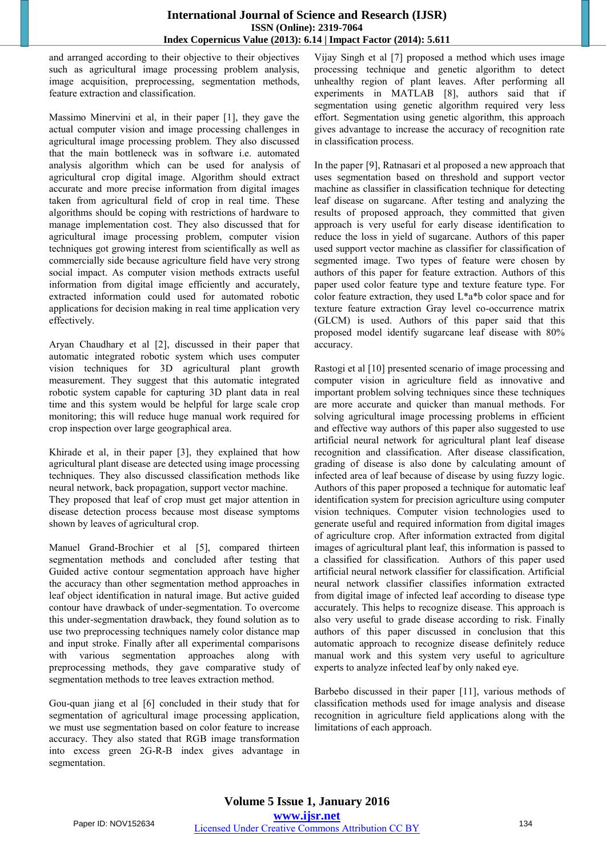and arranged according to their objective to their objectives such as agricultural image processing problem analysis, image acquisition, preprocessing, segmentation methods, feature extraction and classification.

Massimo Minervini et al, in their paper [1], they gave the actual computer vision and image processing challenges in agricultural image processing problem. They also discussed that the main bottleneck was in software i.e. automated analysis algorithm which can be used for analysis of agricultural crop digital image. Algorithm should extract accurate and more precise information from digital images taken from agricultural field of crop in real time. These algorithms should be coping with restrictions of hardware to manage implementation cost. They also discussed that for agricultural image processing problem, computer vision techniques got growing interest from scientifically as well as commercially side because agriculture field have very strong social impact. As computer vision methods extracts useful information from digital image efficiently and accurately, extracted information could used for automated robotic applications for decision making in real time application very effectively.

Aryan Chaudhary et al [2], discussed in their paper that automatic integrated robotic system which uses computer vision techniques for 3D agricultural plant growth measurement. They suggest that this automatic integrated robotic system capable for capturing 3D plant data in real time and this system would be helpful for large scale crop monitoring; this will reduce huge manual work required for crop inspection over large geographical area.

Khirade et al, in their paper [3], they explained that how agricultural plant disease are detected using image processing techniques. They also discussed classification methods like neural network, back propagation, support vector machine. They proposed that leaf of crop must get major attention in disease detection process because most disease symptoms shown by leaves of agricultural crop.

Manuel Grand-Brochier et al [5], compared thirteen segmentation methods and concluded after testing that Guided active contour segmentation approach have higher the accuracy than other segmentation method approaches in leaf object identification in natural image. But active guided contour have drawback of under-segmentation. To overcome this under-segmentation drawback, they found solution as to use two preprocessing techniques namely color distance map and input stroke. Finally after all experimental comparisons with various segmentation approaches along with preprocessing methods, they gave comparative study of segmentation methods to tree leaves extraction method.

Gou-quan jiang et al [6] concluded in their study that for segmentation of agricultural image processing application, we must use segmentation based on color feature to increase accuracy. They also stated that RGB image transformation into excess green 2G-R-B index gives advantage in segmentation.

Vijay Singh et al [7] proposed a method which uses image processing technique and genetic algorithm to detect unhealthy region of plant leaves. After performing all experiments in MATLAB [8], authors said that if segmentation using genetic algorithm required very less effort. Segmentation using genetic algorithm, this approach gives advantage to increase the accuracy of recognition rate in classification process.

In the paper [9], Ratnasari et al proposed a new approach that uses segmentation based on threshold and support vector machine as classifier in classification technique for detecting leaf disease on sugarcane. After testing and analyzing the results of proposed approach, they committed that given approach is very useful for early disease identification to reduce the loss in yield of sugarcane. Authors of this paper used support vector machine as classifier for classification of segmented image. Two types of feature were chosen by authors of this paper for feature extraction. Authors of this paper used color feature type and texture feature type. For color feature extraction, they used L\*a\*b color space and for texture feature extraction Gray level co-occurrence matrix (GLCM) is used. Authors of this paper said that this proposed model identify sugarcane leaf disease with 80% accuracy.

Rastogi et al [10] presented scenario of image processing and computer vision in agriculture field as innovative and important problem solving techniques since these techniques are more accurate and quicker than manual methods. For solving agricultural image processing problems in efficient and effective way authors of this paper also suggested to use artificial neural network for agricultural plant leaf disease recognition and classification. After disease classification, grading of disease is also done by calculating amount of infected area of leaf because of disease by using fuzzy logic. Authors of this paper proposed a technique for automatic leaf identification system for precision agriculture using computer vision techniques. Computer vision technologies used to generate useful and required information from digital images of agriculture crop. After information extracted from digital images of agricultural plant leaf, this information is passed to a classified for classification. Authors of this paper used artificial neural network classifier for classification. Artificial neural network classifier classifies information extracted from digital image of infected leaf according to disease type accurately. This helps to recognize disease. This approach is also very useful to grade disease according to risk. Finally authors of this paper discussed in conclusion that this automatic approach to recognize disease definitely reduce manual work and this system very useful to agriculture experts to analyze infected leaf by only naked eye.

Barbebo discussed in their paper [11], various methods of classification methods used for image analysis and disease recognition in agriculture field applications along with the limitations of each approach.